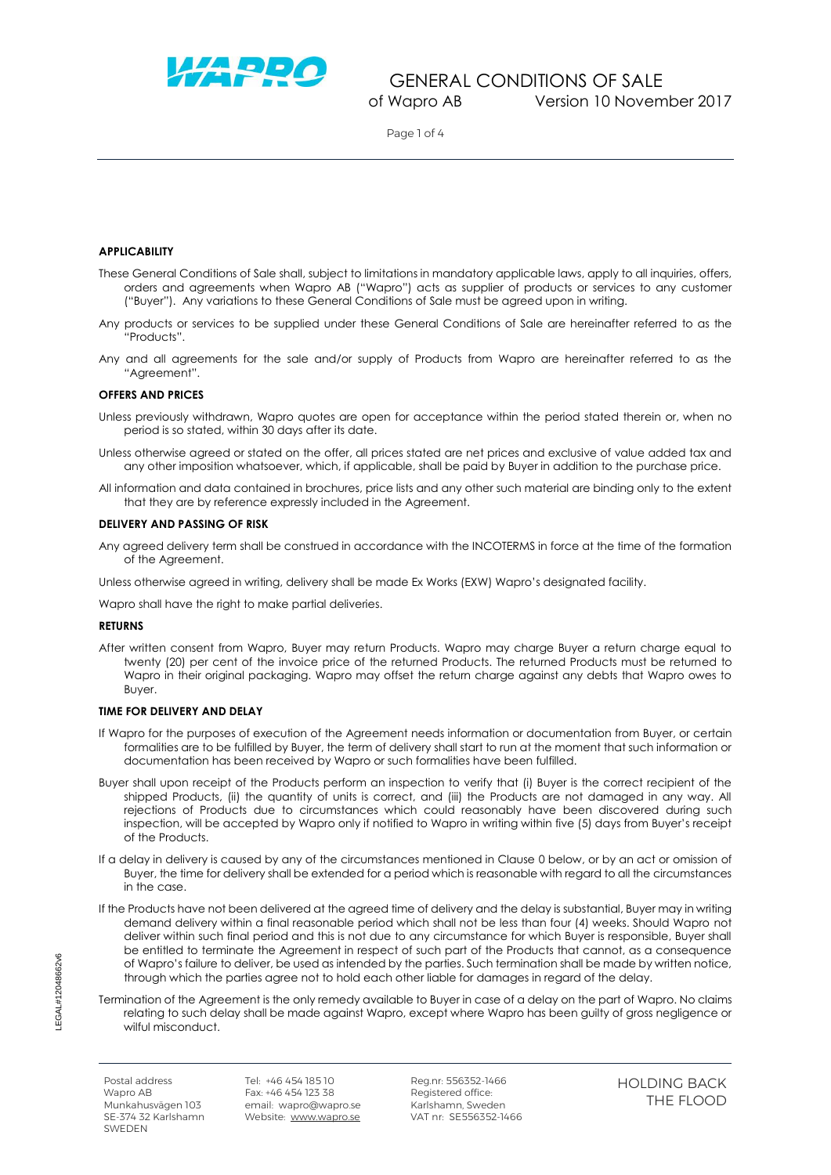

Page 1 of 4

## **APPLICABILITY**

- These General Conditions of Sale shall, subject to limitations in mandatory applicable laws, apply to all inquiries, offers, orders and agreements when Wapro AB ("Wapro") acts as supplier of products or services to any customer ("Buyer"). Any variations to these General Conditions of Sale must be agreed upon in writing.
- Any products or services to be supplied under these General Conditions of Sale are hereinafter referred to as the "Products".
- Any and all agreements for the sale and/or supply of Products from Wapro are hereinafter referred to as the "Agreement".

#### **OFFERS AND PRICES**

- Unless previously withdrawn, Wapro quotes are open for acceptance within the period stated therein or, when no period is so stated, within 30 days after its date.
- Unless otherwise agreed or stated on the offer, all prices stated are net prices and exclusive of value added tax and any other imposition whatsoever, which, if applicable, shall be paid by Buyer in addition to the purchase price.
- All information and data contained in brochures, price lists and any other such material are binding only to the extent that they are by reference expressly included in the Agreement.

#### **DELIVERY AND PASSING OF RISK**

- Any agreed delivery term shall be construed in accordance with the INCOTERMS in force at the time of the formation of the Agreement.
- Unless otherwise agreed in writing, delivery shall be made Ex Works (EXW) Wapro's designated facility.

Wapro shall have the right to make partial deliveries.

#### **RETURNS**

After written consent from Wapro, Buyer may return Products. Wapro may charge Buyer a return charge equal to twenty (20) per cent of the invoice price of the returned Products. The returned Products must be returned to Wapro in their original packaging. Wapro may offset the return charge against any debts that Wapro owes to Buyer.

## **TIME FOR DELIVERY AND DELAY**

- If Wapro for the purposes of execution of the Agreement needs information or documentation from Buyer, or certain formalities are to be fulfilled by Buyer, the term of delivery shall start to run at the moment that such information or documentation has been received by Wapro or such formalities have been fulfilled.
- Buyer shall upon receipt of the Products perform an inspection to verify that (i) Buyer is the correct recipient of the shipped Products, (ii) the quantity of units is correct, and (iii) the Products are not damaged in any way. All rejections of Products due to circumstances which could reasonably have been discovered during such inspection, will be accepted by Wapro only if notified to Wapro in writing within five (5) days from Buyer's receipt of the Products.
- If a delay in delivery is caused by any of the circumstances mentioned in Clause [0](#page-3-0) below, or by an act or omission of Buyer, the time for delivery shall be extended for a period which is reasonable with regard to all the circumstances in the case.
- If the Products have not been delivered at the agreed time of delivery and the delay is substantial, Buyer may in writing demand delivery within a final reasonable period which shall not be less than four (4) weeks. Should Wapro not deliver within such final period and this is not due to any circumstance for which Buyer is responsible, Buyer shall be entitled to terminate the Agreement in respect of such part of the Products that cannot, as a consequence of Wapro's failure to deliver, be used as intended by the parties. Such termination shall be made by written notice, through which the parties agree not to hold each other liable for damages in regard of the delay.
- Termination of the Agreement is the only remedy available to Buyer in case of a delay on the part of Wapro. No claims relating to such delay shall be made against Wapro, except where Wapro has been guilty of gross negligence or wilful misconduct.

Postal address Wapro AB Munkahusvägen 103 SE-374 32 Karlshamn **SWEDEN** 

Tel: +46 454 185 10 Fax: +46 454 123 38 email: wapro@wapro.se Website: [www.wapro.se](http://www.wapro.se/)

Reg.nr: 556352-1466 Registered office: Karlshamn, Sweden VAT nr: SE556352-1466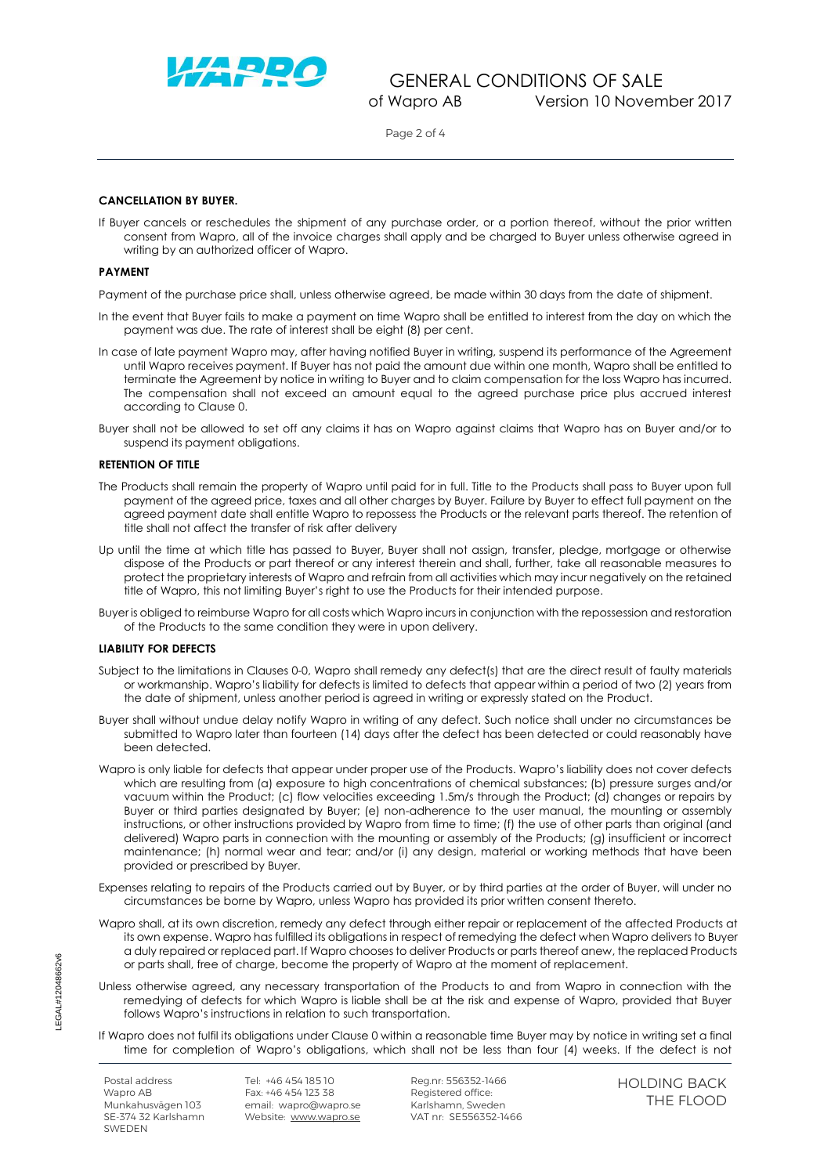

Page 2 of 4

## **CANCELLATION BY BUYER.**

If Buyer cancels or reschedules the shipment of any purchase order, or a portion thereof, without the prior written consent from Wapro, all of the invoice charges shall apply and be charged to Buyer unless otherwise agreed in writing by an authorized officer of Wapro.

#### **PAYMENT**

Payment of the purchase price shall, unless otherwise agreed, be made within 30 days from the date of shipment.

- <span id="page-1-0"></span>In the event that Buyer fails to make a payment on time Wapro shall be entitled to interest from the day on which the payment was due. The rate of interest shall be eight (8) per cent.
- In case of late payment Wapro may, after having notified Buyer in writing, suspend its performance of the Agreement until Wapro receives payment. If Buyer has not paid the amount due within one month, Wapro shall be entitled to terminate the Agreement by notice in writing to Buyer and to claim compensation for the loss Wapro has incurred. The compensation shall not exceed an amount equal to the agreed purchase price plus accrued interest according to Clause [0.](#page-1-0)
- Buyer shall not be allowed to set off any claims it has on Wapro against claims that Wapro has on Buyer and/or to suspend its payment obligations.

#### **RETENTION OF TITLE**

- The Products shall remain the property of Wapro until paid for in full. Title to the Products shall pass to Buyer upon full payment of the agreed price, taxes and all other charges by Buyer. Failure by Buyer to effect full payment on the agreed payment date shall entitle Wapro to repossess the Products or the relevant parts thereof. The retention of title shall not affect the transfer of risk after delivery
- Up until the time at which title has passed to Buyer, Buyer shall not assign, transfer, pledge, mortgage or otherwise dispose of the Products or part thereof or any interest therein and shall, further, take all reasonable measures to protect the proprietary interests of Wapro and refrain from all activities which may incur negatively on the retained title of Wapro, this not limiting Buyer's right to use the Products for their intended purpose.
- Buyer is obliged to reimburse Wapro for all costs which Wapro incurs in conjunction with the repossession and restoration of the Products to the same condition they were in upon delivery.

## **LIABILITY FOR DEFECTS**

- <span id="page-1-1"></span>Subject to the limitations in Clauses [0-](#page-1-1)[0,](#page-2-0) Wapro shall remedy any defect(s) that are the direct result of faulty materials or workmanship. Wapro's liability for defects is limited to defects that appear within a period of two (2) years from the date of shipment, unless another period is agreed in writing or expressly stated on the Product.
- Buyer shall without undue delay notify Wapro in writing of any defect. Such notice shall under no circumstances be submitted to Wapro later than fourteen (14) days after the defect has been detected or could reasonably have been detected.
- Wapro is only liable for defects that appear under proper use of the Products. Wapro's liability does not cover defects which are resulting from (a) exposure to high concentrations of chemical substances; (b) pressure surges and/or vacuum within the Product; (c) flow velocities exceeding 1.5m/s through the Product; (d) changes or repairs by Buyer or third parties designated by Buyer; (e) non-adherence to the user manual, the mounting or assembly instructions, or other instructions provided by Wapro from time to time; (f) the use of other parts than original (and delivered) Wapro parts in connection with the mounting or assembly of the Products; (g) insufficient or incorrect maintenance; (h) normal wear and tear; and/or (i) any design, material or working methods that have been provided or prescribed by Buyer.
- Expenses relating to repairs of the Products carried out by Buyer, or by third parties at the order of Buyer, will under no circumstances be borne by Wapro, unless Wapro has provided its prior written consent thereto.
- <span id="page-1-2"></span>Wapro shall, at its own discretion, remedy any defect through either repair or replacement of the affected Products at its own expense. Wapro has fulfilled its obligations in respect of remedying the defect when Wapro delivers to Buyer a duly repaired or replaced part. If Wapro chooses to deliver Products or parts thereof anew, the replaced Products or parts shall, free of charge, become the property of Wapro at the moment of replacement.
- Unless otherwise agreed, any necessary transportation of the Products to and from Wapro in connection with the remedying of defects for which Wapro is liable shall be at the risk and expense of Wapro, provided that Buyer follows Wapro's instructions in relation to such transportation.
- If Wapro does not fulfil its obligations under Claus[e 0](#page-1-2) within a reasonable time Buyer may by notice in writing set a final time for completion of Wapro's obligations, which shall not be less than four (4) weeks. If the defect is not

Postal address Wapro AB Munkahusvägen 103 SE-374 32 Karlshamn **SWEDEN** 

Tel: +46 454 185 10 Fax: +46 454 123 38 email: wapro@wapro.se Website: [www.wapro.se](http://www.wapro.se/)

Reg.nr: 556352-1466 Registered office: Karlshamn, Sweden VAT nr: SE556352-1466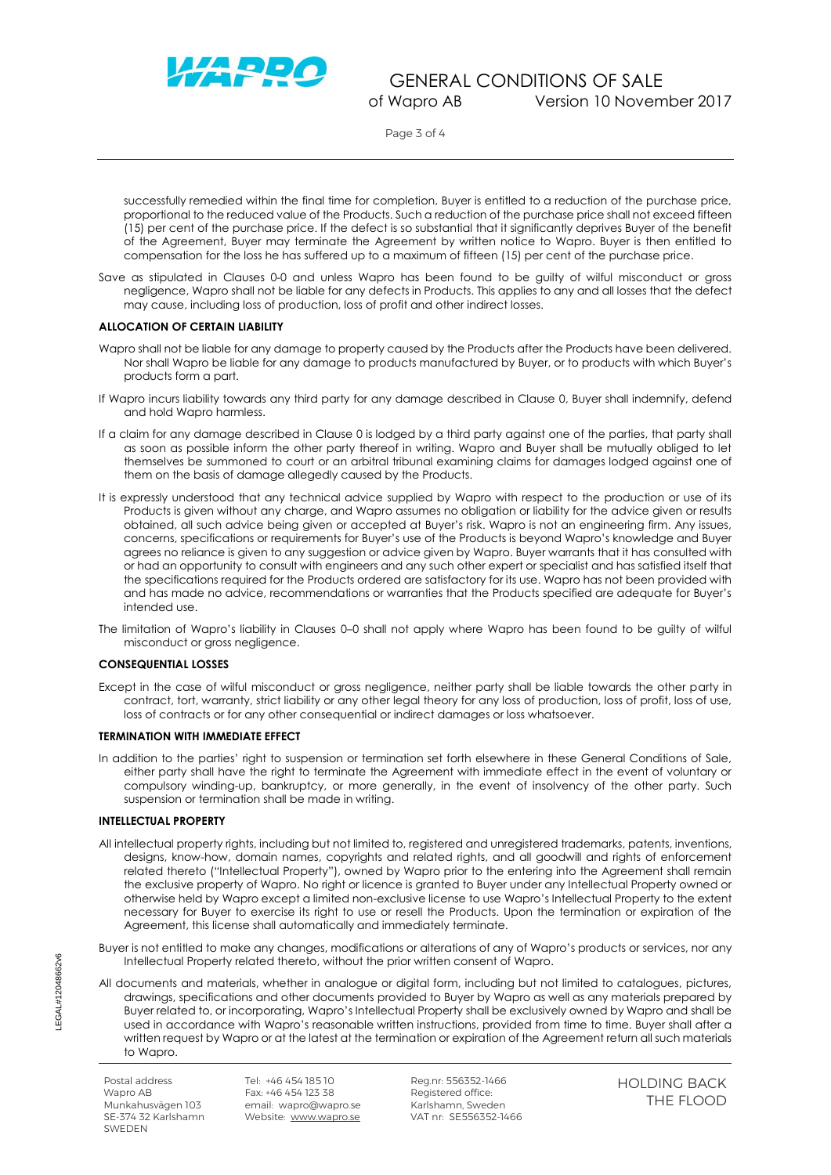

Page 3 of 4

successfully remedied within the final time for completion, Buyer is entitled to a reduction of the purchase price, proportional to the reduced value of the Products. Such a reduction of the purchase price shall not exceed fifteen (15) per cent of the purchase price. If the defect is so substantial that it significantly deprives Buyer of the benefit of the Agreement, Buyer may terminate the Agreement by written notice to Wapro. Buyer is then entitled to compensation for the loss he has suffered up to a maximum of fifteen (15) per cent of the purchase price.

<span id="page-2-0"></span>Save as stipulated in Clauses [0-](#page-1-1)[0](#page-2-0) and unless Wapro has been found to be guilty of wilful misconduct or gross negligence, Wapro shall not be liable for any defects in Products. This applies to any and all losses that the defect may cause, including loss of production, loss of profit and other indirect losses.

## **ALLOCATION OF CERTAIN LIABILITY**

- <span id="page-2-1"></span>Wapro shall not be liable for any damage to property caused by the Products after the Products have been delivered. Nor shall Wapro be liable for any damage to products manufactured by Buyer, or to products with which Buyer's products form a part.
- If Wapro incurs liability towards any third party for any damage described in Clause [0,](#page-2-1) Buyer shall indemnify, defend and hold Wapro harmless.
- If a claim for any damage described in Clause [0](#page-2-1) is lodged by a third party against one of the parties, that party shall as soon as possible inform the other party thereof in writing. Wapro and Buyer shall be mutually obliged to let themselves be summoned to court or an arbitral tribunal examining claims for damages lodged against one of them on the basis of damage allegedly caused by the Products.
- <span id="page-2-2"></span>It is expressly understood that any technical advice supplied by Wapro with respect to the production or use of its Products is given without any charge, and Wapro assumes no obligation or liability for the advice given or results obtained, all such advice being given or accepted at Buyer's risk. Wapro is not an engineering firm. Any issues, concerns, specifications or requirements for Buyer's use of the Products is beyond Wapro's knowledge and Buyer agrees no reliance is given to any suggestion or advice given by Wapro. Buyer warrants that it has consulted with or had an opportunity to consult with engineers and any such other expert or specialist and has satisfied itself that the specifications required for the Products ordered are satisfactory for its use. Wapro has not been provided with and has made no advice, recommendations or warranties that the Products specified are adequate for Buyer's intended use.
- The limitation of Wapro's liability in Clauses [0](#page-2-1)–[0](#page-2-2) shall not apply where Wapro has been found to be guilty of wilful misconduct or gross negligence.

## **CONSEQUENTIAL LOSSES**

Except in the case of wilful misconduct or gross negligence, neither party shall be liable towards the other party in contract, tort, warranty, strict liability or any other legal theory for any loss of production, loss of profit, loss of use, loss of contracts or for any other consequential or indirect damages or loss whatsoever.

## **TERMINATION WITH IMMEDIATE EFFECT**

In addition to the parties' right to suspension or termination set forth elsewhere in these General Conditions of Sale, either party shall have the right to terminate the Agreement with immediate effect in the event of voluntary or compulsory winding-up, bankruptcy, or more generally, in the event of insolvency of the other party. Such suspension or termination shall be made in writing.

## **INTELLECTUAL PROPERTY**

All intellectual property rights, including but not limited to, registered and unregistered trademarks, patents, inventions, designs, know-how, domain names, copyrights and related rights, and all goodwill and rights of enforcement related thereto ("Intellectual Property"), owned by Wapro prior to the entering into the Agreement shall remain the exclusive property of Wapro. No right or licence is granted to Buyer under any Intellectual Property owned or otherwise held by Wapro except a limited non-exclusive license to use Wapro's Intellectual Property to the extent necessary for Buyer to exercise its right to use or resell the Products. Upon the termination or expiration of the Agreement, this license shall automatically and immediately terminate.

Buyer is not entitled to make any changes, modifications or alterations of any of Wapro's products or services, nor any Intellectual Property related thereto, without the prior written consent of Wapro.

All documents and materials, whether in analogue or digital form, including but not limited to catalogues, pictures, drawings, specifications and other documents provided to Buyer by Wapro as well as any materials prepared by Buyer related to, or incorporating, Wapro's Intellectual Property shall be exclusively owned by Wapro and shall be used in accordance with Wapro's reasonable written instructions, provided from time to time. Buyer shall after a written request by Wapro or at the latest at the termination or expiration of the Agreement return all such materials to Wapro.

Postal address Wapro AB Munkahusvägen 103 SE-374 32 Karlshamn **SWEDEN** 

Tel: +46 454 185 10 Fax: +46 454 123 38 email: wapro@wapro.se Website: [www.wapro.se](http://www.wapro.se/)

Reg.nr: 556352-1466 Registered office: Karlshamn, Sweden VAT nr: SE556352-1466